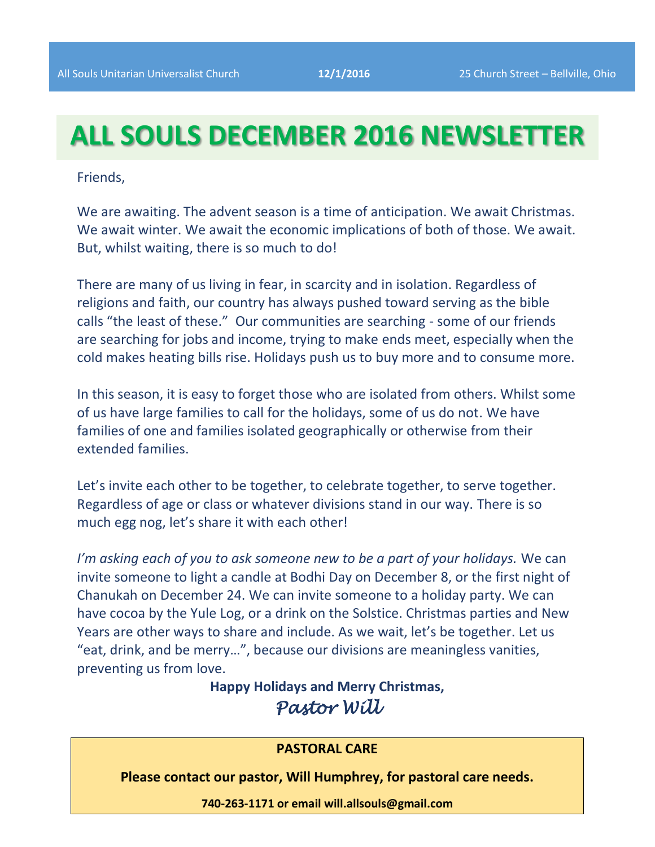# **ALL SOULS DECEMBER 2016 NEWSLETTER**

Friends,

We are awaiting. The advent season is a time of anticipation. We await Christmas. We await winter. We await the economic implications of both of those. We await. But, whilst waiting, there is so much to do!

There are many of us living in fear, in scarcity and in isolation. Regardless of religions and faith, our country has always pushed toward serving as the bible calls "the least of these." Our communities are searching - some of our friends are searching for jobs and income, trying to make ends meet, especially when the cold makes heating bills rise. Holidays push us to buy more and to consume more.

In this season, it is easy to forget those who are isolated from others. Whilst some of us have large families to call for the holidays, some of us do not. We have families of one and families isolated geographically or otherwise from their extended families.

Let's invite each other to be together, to celebrate together, to serve together. Regardless of age or class or whatever divisions stand in our way. There is so much egg nog, let's share it with each other!

*I'm asking each of you to ask someone new to be a part of your holidays.* We can invite someone to light a candle at Bodhi Day on December 8, or the first night of Chanukah on December 24. We can invite someone to a holiday party. We can have cocoa by the Yule Log, or a drink on the Solstice. Christmas parties and New Years are other ways to share and include. As we wait, let's be together. Let us "eat, drink, and be merry…", because our divisions are meaningless vanities, preventing us from love.

> **Happy Holidays and Merry Christmas,** *Pastor Will*

### **PASTORAL CARE**

**Please contact our pastor, Will Humphrey, for pastoral care needs.**

**740-263-1171 or email will.allsouls@gmail.com**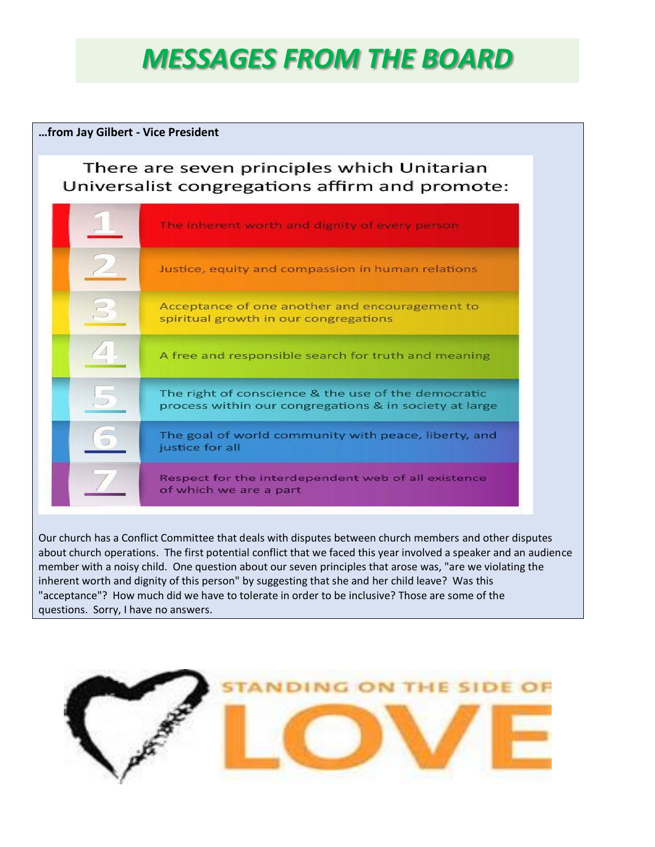# *MESSAGES FROM THE BOARD*

#### **…from Jay Gilbert - Vice President**

## There are seven principles which Unitarian Universalist congregations affirm and promote:



Our church has a Conflict Committee that deals with disputes between church members and other disputes about church operations. The first potential conflict that we faced this year involved a speaker and an audience member with a noisy child. One question about our seven principles that arose was, "are we violating the inherent worth and dignity of this person" by suggesting that she and her child leave? Was this "acceptance"? How much did we have to tolerate in order to be inclusive? Those are some of the questions. Sorry, I have no answers.

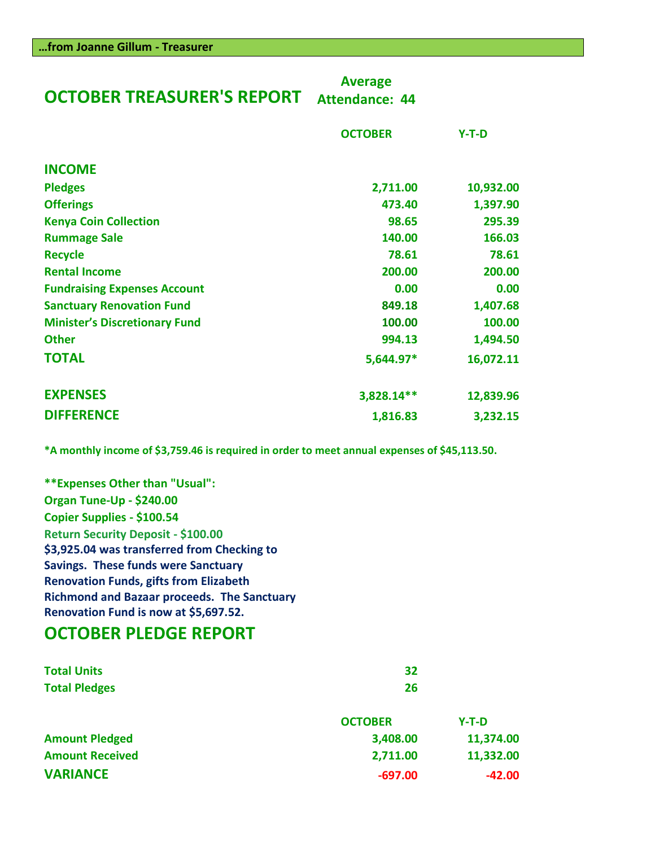| <b>OCTOBER TREASURER'S REPORT</b>    | <b>Average</b><br><b>Attendance: 44</b> |           |
|--------------------------------------|-----------------------------------------|-----------|
|                                      | <b>OCTOBER</b>                          | $Y-T-D$   |
| <b>INCOME</b>                        |                                         |           |
| <b>Pledges</b>                       | 2,711.00                                | 10,932.00 |
| <b>Offerings</b>                     | 473.40                                  | 1,397.90  |
| <b>Kenya Coin Collection</b>         | 98.65                                   | 295.39    |
| <b>Rummage Sale</b>                  | 140.00                                  | 166.03    |
| <b>Recycle</b>                       | 78.61                                   | 78.61     |
| <b>Rental Income</b>                 | 200.00                                  | 200.00    |
| <b>Fundraising Expenses Account</b>  | 0.00                                    | 0.00      |
| <b>Sanctuary Renovation Fund</b>     | 849.18                                  | 1,407.68  |
| <b>Minister's Discretionary Fund</b> | 100.00                                  | 100.00    |
| <b>Other</b>                         | 994.13                                  | 1,494.50  |
| <b>TOTAL</b>                         | 5,644.97*                               | 16,072.11 |
| <b>EXPENSES</b>                      | 3,828.14**                              | 12,839.96 |

**\*A monthly income of \$3,759.46 is required in order to meet annual expenses of \$45,113.50.**

**DIFFERENCE 1,816.83 3,232.15**

**\*\*Expenses Other than "Usual": Organ Tune-Up - \$240.00 Copier Supplies - \$100.54 Return Security Deposit - \$100.00 \$3,925.04 was transferred from Checking to Savings. These funds were Sanctuary Renovation Funds, gifts from Elizabeth Richmond and Bazaar proceeds. The Sanctuary Renovation Fund is now at \$5,697.52.**

# **OCTOBER PLEDGE REPORT**

| <b>Total Units</b>     | 32             |           |
|------------------------|----------------|-----------|
| <b>Total Pledges</b>   | 26             |           |
|                        | <b>OCTOBER</b> | $Y-T-D$   |
| <b>Amount Pledged</b>  | 3,408.00       | 11,374.00 |
| <b>Amount Received</b> | 2,711.00       | 11,332.00 |
| <b>VARIANCE</b>        | $-697.00$      | $-42.00$  |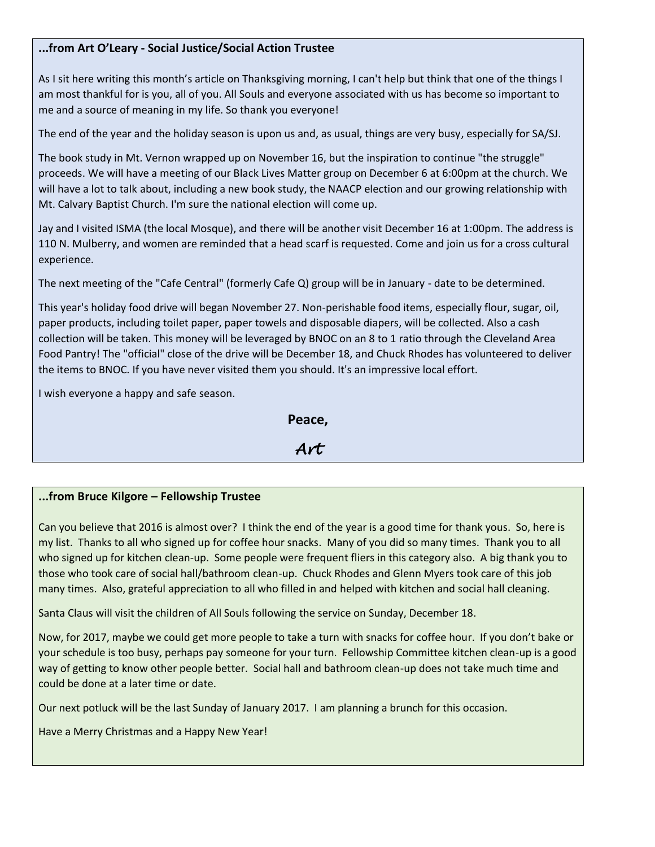#### **...from Art O'Leary - Social Justice/Social Action Trustee**

As I sit here writing this month's article on Thanksgiving morning, I can't help but think that one of the things I am most thankful for is you, all of you. All Souls and everyone associated with us has become so important to me and a source of meaning in my life. So thank you everyone!

The end of the year and the holiday season is upon us and, as usual, things are very busy, especially for SA/SJ.

The book study in Mt. Vernon wrapped up on November 16, but the inspiration to continue "the struggle" proceeds. We will have a meeting of our Black Lives Matter group on December 6 at 6:00pm at the church. We will have a lot to talk about, including a new book study, the NAACP election and our growing relationship with Mt. Calvary Baptist Church. I'm sure the national election will come up.

Jay and I visited ISMA (the local Mosque), and there will be another visit December 16 at 1:00pm. The address is 110 N. Mulberry, and women are reminded that a head scarf is requested. Come and join us for a cross cultural experience.

The next meeting of the "Cafe Central" (formerly Cafe Q) group will be in January - date to be determined.

This year's holiday food drive will began November 27. Non-perishable food items, especially flour, sugar, oil, paper products, including toilet paper, paper towels and disposable diapers, will be collected. Also a cash collection will be taken. This money will be leveraged by BNOC on an 8 to 1 ratio through the Cleveland Area Food Pantry! The "official" close of the drive will be December 18, and Chuck Rhodes has volunteered to deliver the items to BNOC. If you have never visited them you should. It's an impressive local effort.

I wish everyone a happy and safe season.

**Peace,** *Art* 

#### **...from Bruce Kilgore – Fellowship Trustee**

Can you believe that 2016 is almost over? I think the end of the year is a good time for thank yous. So, here is my list. Thanks to all who signed up for coffee hour snacks. Many of you did so many times. Thank you to all who signed up for kitchen clean-up. Some people were frequent fliers in this category also. A big thank you to those who took care of social hall/bathroom clean-up. Chuck Rhodes and Glenn Myers took care of this job many times. Also, grateful appreciation to all who filled in and helped with kitchen and social hall cleaning.

Santa Claus will visit the children of All Souls following the service on Sunday, December 18.

Now, for 2017, maybe we could get more people to take a turn with snacks for coffee hour. If you don't bake or your schedule is too busy, perhaps pay someone for your turn. Fellowship Committee kitchen clean-up is a good way of getting to know other people better. Social hall and bathroom clean-up does not take much time and could be done at a later time or date.

Our next potluck will be the last Sunday of January 2017. I am planning a brunch for this occasion.

Have a Merry Christmas and a Happy New Year!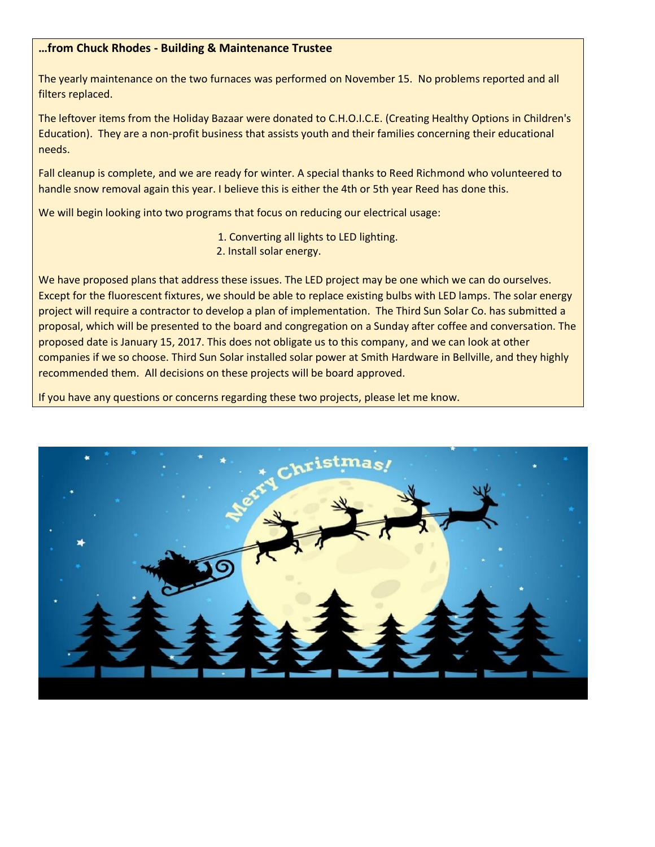#### **…from Chuck Rhodes - Building & Maintenance Trustee**

The yearly maintenance on the two furnaces was performed on November 15. No problems reported and all filters replaced.

The leftover items from the Holiday Bazaar were donated to C.H.O.I.C.E. (Creating Healthy Options in Children's Education). They are a non-profit business that assists youth and their families concerning their educational needs.

Fall cleanup is complete, and we are ready for winter. A special thanks to Reed Richmond who volunteered to handle snow removal again this year. I believe this is either the 4th or 5th year Reed has done this.

We will begin looking into two programs that focus on reducing our electrical usage:

- 1. Converting all lights to LED lighting.
- 2. Install solar energy.

We have proposed plans that address these issues. The LED project may be one which we can do ourselves. Except for the fluorescent fixtures, we should be able to replace existing bulbs with LED lamps. The solar energy project will require a contractor to develop a plan of implementation. The Third Sun Solar Co. has submitted a proposal, which will be presented to the board and congregation on a Sunday after coffee and conversation. The proposed date is January 15, 2017. This does not obligate us to this company, and we can look at other companies if we so choose. Third Sun Solar installed solar power at Smith Hardware in Bellville, and they highly recommended them. All decisions on these projects will be board approved.

If you have any questions or concerns regarding these two projects, please let me know.

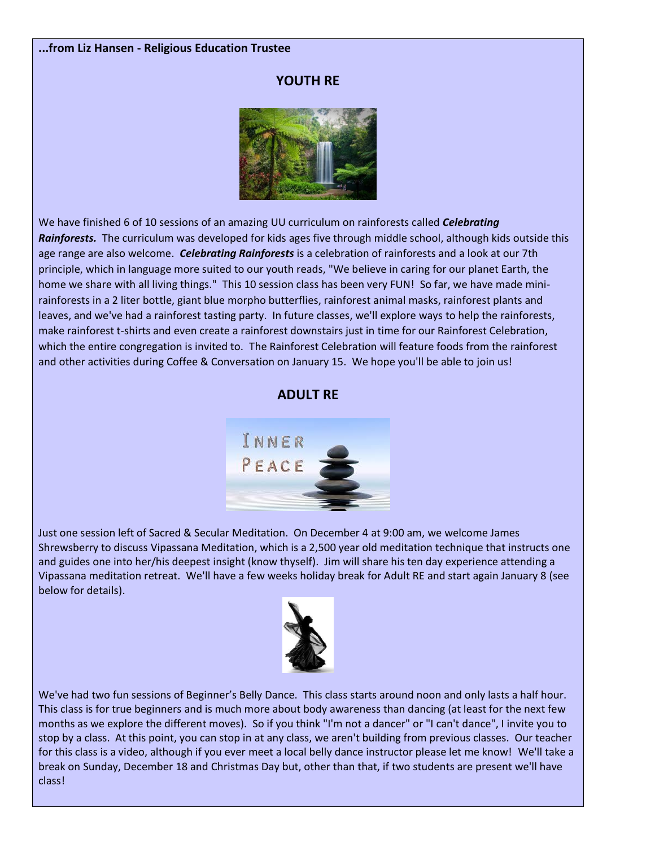#### **...from Liz Hansen - Religious Education Trustee**

#### **YOUTH RE**



We have finished 6 of 10 sessions of an amazing UU curriculum on rainforests called *Celebrating Rainforests.* The curriculum was developed for kids ages five through middle school, although kids outside this age range are also welcome. *Celebrating Rainforests* is a celebration of rainforests and a look at our 7th principle, which in language more suited to our youth reads, "We believe in caring for our planet Earth, the home we share with all living things." This 10 session class has been very FUN! So far, we have made minirainforests in a 2 liter bottle, giant blue morpho butterflies, rainforest animal masks, rainforest plants and leaves, and we've had a rainforest tasting party. In future classes, we'll explore ways to help the rainforests, make rainforest t-shirts and even create a rainforest downstairs just in time for our Rainforest Celebration, which the entire congregation is invited to. The Rainforest Celebration will feature foods from the rainforest and other activities during Coffee & Conversation on January 15. We hope you'll be able to join us!



Just one session left of Sacred & Secular Meditation. On December 4 at 9:00 am, we welcome James Shrewsberry to discuss Vipassana Meditation, which is a 2,500 year old meditation technique that instructs one and guides one into her/his deepest insight (know thyself). Jim will share his ten day experience attending a Vipassana meditation retreat. We'll have a few weeks holiday break for Adult RE and start again January 8 (see below for details).



We've had two fun sessions of Beginner's Belly Dance. This class starts around noon and only lasts a half hour. This class is for true beginners and is much more about body awareness than dancing (at least for the next few months as we explore the different moves). So if you think "I'm not a dancer" or "I can't dance", I invite you to stop by a class. At this point, you can stop in at any class, we aren't building from previous classes. Our teacher for this class is a video, although if you ever meet a local belly dance instructor please let me know! We'll take a break on Sunday, December 18 and Christmas Day but, other than that, if two students are present we'll have class!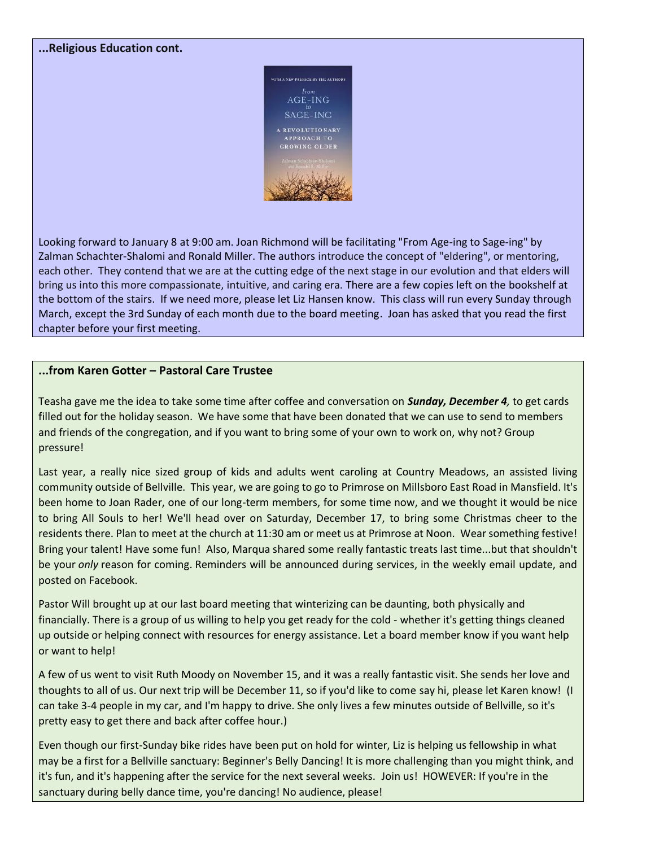#### **...Religious Education cont.**



Looking forward to January 8 at 9:00 am. Joan Richmond will be facilitating "From Age-ing to Sage-ing" by Zalman Schachter-Shalomi and Ronald Miller. The authors introduce the concept of "eldering", or mentoring, each other. They contend that we are at the cutting edge of the next stage in our evolution and that elders will bring us into this more compassionate, intuitive, and caring era. There are a few copies left on the bookshelf at the bottom of the stairs. If we need more, please let Liz Hansen know. This class will run every Sunday through March, except the 3rd Sunday of each month due to the board meeting. Joan has asked that you read the first chapter before your first meeting.

#### **...from Karen Gotter – Pastoral Care Trustee**

Teasha gave me the idea to take some time after coffee and conversation on *Sunday, December 4,* to get cards filled out for the holiday season. We have some that have been donated that we can use to send to members and friends of the congregation, and if you want to bring some of your own to work on, why not? Group pressure!

Last year, a really nice sized group of kids and adults went caroling at Country Meadows, an assisted living community outside of Bellville. This year, we are going to go to Primrose on Millsboro East Road in Mansfield. It's been home to Joan Rader, one of our long-term members, for some time now, and we thought it would be nice to bring All Souls to her! We'll head over on Saturday, December 17, to bring some Christmas cheer to the residents there. Plan to meet at the church at 11:30 am or meet us at Primrose at Noon. Wear something festive! Bring your talent! Have some fun! Also, Marqua shared some really fantastic treats last time...but that shouldn't be your *only* reason for coming. Reminders will be announced during services, in the weekly email update, and posted on Facebook.

Pastor Will brought up at our last board meeting that winterizing can be daunting, both physically and financially. There is a group of us willing to help you get ready for the cold - whether it's getting things cleaned up outside or helping connect with resources for energy assistance. Let a board member know if you want help or want to help!

A few of us went to visit Ruth Moody on November 15, and it was a really fantastic visit. She sends her love and thoughts to all of us. Our next trip will be December 11, so if you'd like to come say hi, please let Karen know! (I can take 3-4 people in my car, and I'm happy to drive. She only lives a few minutes outside of Bellville, so it's pretty easy to get there and back after coffee hour.)

Even though our first-Sunday bike rides have been put on hold for winter, Liz is helping us fellowship in what may be a first for a Bellville sanctuary: Beginner's Belly Dancing! It is more challenging than you might think, and it's fun, and it's happening after the service for the next several weeks. Join us! HOWEVER: If you're in the sanctuary during belly dance time, you're dancing! No audience, please!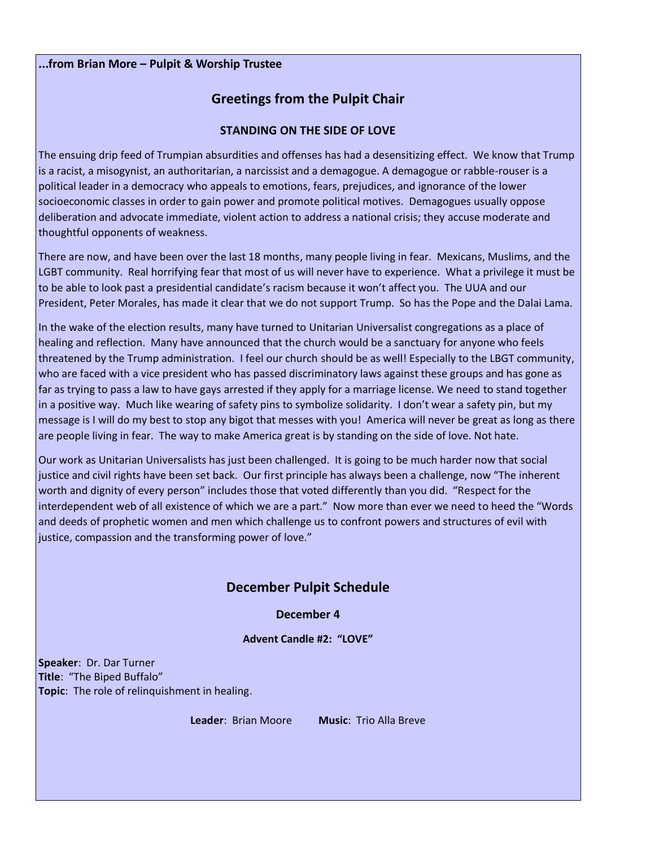#### **...from Brian More – Pulpit & Worship Trustee**

## **Greetings from the Pulpit Chair**

#### **STANDING ON THE SIDE OF LOVE**

The ensuing drip feed of Trumpian absurdities and offenses has had a desensitizing effect. We know that Trump is a racist, a misogynist, an authoritarian, a narcissist and a demagogue. A demagogue or rabble-rouser is a political leader in a democracy who appeals to emotions, fears, prejudices, and ignorance of the lower socioeconomic classes in order to gain power and promote political motives. Demagogues usually oppose deliberation and advocate immediate, violent action to address a national crisis; they accuse moderate and thoughtful opponents of weakness.

There are now, and have been over the last 18 months, many people living in fear. Mexicans, Muslims, and the LGBT community. Real horrifying fear that most of us will never have to experience. What a privilege it must be to be able to look past a presidential candidate's racism because it won't affect you. The UUA and our President, Peter Morales, has made it clear that we do not support Trump. So has the Pope and the Dalai Lama.

In the wake of the election results, many have turned to Unitarian Universalist congregations as a place of healing and reflection. Many have announced that the church would be a sanctuary for anyone who feels threatened by the Trump administration. I feel our church should be as well! Especially to the LBGT community, who are faced with a vice president who has passed discriminatory laws against these groups and has gone as far as trying to pass a law to have gays arrested if they apply for a marriage license. We need to stand together in a positive way. Much like wearing of safety pins to symbolize solidarity. I don't wear a safety pin, but my message is I will do my best to stop any bigot that messes with you! America will never be great as long as there are people living in fear. The way to make America great is by standing on the side of love. Not hate.

Our work as Unitarian Universalists has just been challenged. It is going to be much harder now that social justice and civil rights have been set back. Our first principle has always been a challenge, now "The inherent worth and dignity of every person" includes those that voted differently than you did. "Respect for the interdependent web of all existence of which we are a part." Now more than ever we need to heed the "Words and deeds of prophetic women and men which challenge us to confront powers and structures of evil with justice, compassion and the transforming power of love."

### **December Pulpit Schedule**

**December 4**

**Advent Candle #2: "LOVE"**

**Speaker**: Dr. Dar Turner **Title**: "The Biped Buffalo" **Topic**: The role of relinquishment in healing.

**Leader**: Brian Moore **Music**: Trio Alla Breve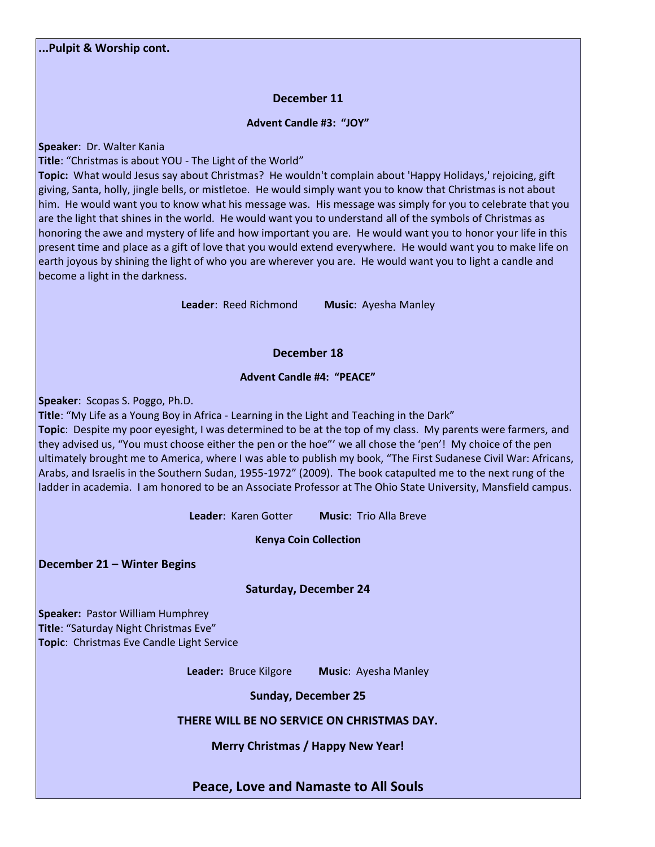#### **December 11**

#### **Advent Candle #3: "JOY"**

**Speaker**: Dr. Walter Kania

**Title**: "Christmas is about YOU - The Light of the World"

**Topic:** What would Jesus say about Christmas? He wouldn't complain about 'Happy Holidays,' rejoicing, gift giving, Santa, holly, jingle bells, or mistletoe. He would simply want you to know that Christmas is not about him. He would want you to know what his message was. His message was simply for you to celebrate that you are the light that shines in the world. He would want you to understand all of the symbols of Christmas as honoring the awe and mystery of life and how important you are. He would want you to honor your life in this present time and place as a gift of love that you would extend everywhere. He would want you to make life on earth joyous by shining the light of who you are wherever you are. He would want you to light a candle and become a light in the darkness.

**Leader**: Reed Richmond **Music**: Ayesha Manley

#### **December 18**

#### **Advent Candle #4: "PEACE"**

**Speaker**: Scopas S. Poggo, Ph.D.

**Title**: "My Life as a Young Boy in Africa - Learning in the Light and Teaching in the Dark" **Topic**: Despite my poor eyesight, I was determined to be at the top of my class. My parents were farmers, and they advised us, "You must choose either the pen or the hoe"' we all chose the 'pen'! My choice of the pen ultimately brought me to America, where I was able to publish my book, "The First Sudanese Civil War: Africans, Arabs, and Israelis in the Southern Sudan, 1955-1972" (2009). The book catapulted me to the next rung of the ladder in academia. I am honored to be an Associate Professor at The Ohio State University, Mansfield campus.

**Leader**: Karen Gotter **Music**: Trio Alla Breve

**Kenya Coin Collection**

**December 21 – Winter Begins**

#### **Saturday, December 24**

**Speaker:** Pastor William Humphrey **Title**: "Saturday Night Christmas Eve" **Topic**: Christmas Eve Candle Light Service

**Leader:** Bruce Kilgore **Music**: Ayesha Manley

**Sunday, December 25**

#### **THERE WILL BE NO SERVICE ON CHRISTMAS DAY.**

**Merry Christmas / Happy New Year!**

**Peace, Love and Namaste to All Souls**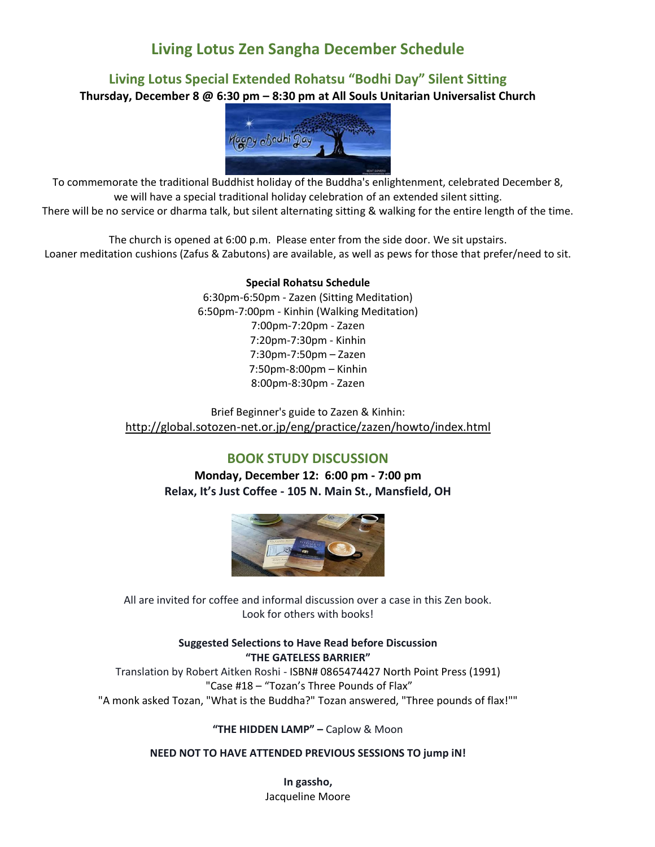# **Living Lotus Zen Sangha December Schedule**

# **Living Lotus Special Extended Rohatsu "Bodhi Day" Silent Sitting**

**Thursday, December 8 @ 6:30 pm – 8:30 pm at All Souls Unitarian Universalist Church**



To commemorate the traditional Buddhist holiday of the Buddha's enlightenment, celebrated December 8, we will have a special traditional holiday celebration of an extended silent sitting. There will be no service or dharma talk, but silent alternating sitting & walking for the entire length of the time.

The church is opened at 6:00 p.m. Please enter from the side door. We sit upstairs. Loaner meditation cushions (Zafus & Zabutons) are available, as well as pews for those that prefer/need to sit.

#### **Special Rohatsu Schedule**

6:30pm-6:50pm - Zazen (Sitting Meditation) 6:50pm-7:00pm - Kinhin (Walking Meditation) 7:00pm-7:20pm - Zazen 7:20pm-7:30pm - Kinhin 7:30pm-7:50pm – Zazen 7:50pm-8:00pm – Kinhin 8:00pm-8:30pm - Zazen

Brief Beginner's guide to Zazen & Kinhin: [http://global.sotozen-net.or.jp/eng/practice/zazen/howto/index.html](http://l.facebook.com/?u=http%3A%2F%2Fglobal.sotozen-net.or.jp%2Feng%2Fpractice%2Fzazen%2Fhowto%2Findex.html&e=ATOXqawJM1--9N9v8oPw8oyhjopfFmZVyt2JFfRZL-qFiiYq8uBExuSIEUOSpg)

#### **BOOK STUDY DISCUSSION**

**Monday, December 12: 6:00 pm - 7:00 pm Relax, It's Just Coffee - 105 N. Main St., Mansfield, OH**



All are invited for coffee and informal discussion over a case in this Zen book. Look for others with books!

> **Suggested Selections to Have Read before Discussion "THE GATELESS BARRIER"**

Translation by Robert Aitken Roshi - ISBN# 0865474427 North Point Press (1991) "Case #18 – "Tozan's Three Pounds of Flax" "A monk asked Tozan, "What is the Buddha?" Tozan answered, "Three pounds of flax!""

**"THE HIDDEN LAMP" –** Caplow & Moon

**NEED NOT TO HAVE ATTENDED PREVIOUS SESSIONS TO jump iN!**

**In gassho,** Jacqueline Moore